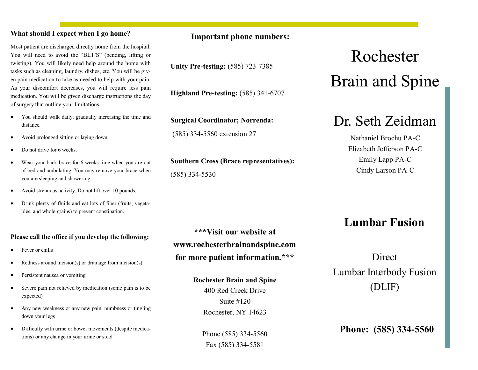#### **What should I expect when I go home?**

Most patient are discharged directly home from the hospital. You will need to avoid the "BLT'S" (bending, lifting or twisting). You will likely need help around the home with tasks such as cleaning, laundry, dishes, etc. You will be given pain medication to take as needed to help with your pain. As your discomfort decreases, you will require less pain medication. You will be given discharge instructions the day of surgery that outline your limitations.

- You should walk daily; gradually increasing the time and distance.
- Avoid prolonged sitting or laying down.
- Do not drive for 6 weeks.
- Wear your back brace for 6 weeks time when you are out of bed and ambulating. You may remove your brace when you are sleeping and showering.
- Avoid strenuous activity. Do not lift over 10 pounds.
- Drink plenty of fluids and eat lots of fiber (fruits, vegetables, and whole grains) to prevent constipation.

#### **Please call the office if you develop the following:**

- Fever or chills
- Redness around incision(s) or drainage from incision(s)
- Persistent nausea or vomiting
- Severe pain not relieved by medication (some pain is to be expected)
- Any new weakness or any new pain, numbness or tingling down your legs
- Difficulty with urine or bowel movements (despite medications) or any change in your urine or stool

#### **Important phone numbers:**

**Unity Pre-testing:** (585) 723-7385

**Highland Pre-testing:** (585) 341-6707

**Surgical Coordinator; Norrenda:** 

(585) 334-5560 extension 27

**Southern Cross (Brace representatives):** (585) 334-5530

**\*\*\*Visit our website at www.rochesterbrainandspine.com for more patient information.\*\*\***

#### **Rochester Brain and Spine**

400 Red Creek Drive Suite #120 Rochester, NY 14623

Phone (585) 334-5560 Fax (585) 334-5581

# Rochester Brain and Spine

## Dr. Seth Zeidman

Nathaniel Brochu PA-C Elizabeth Jefferson PA-C Emily Lapp PA-C Cindy Larson PA-C

### **Lumbar Fusion**

**Direct** Lumbar Interbody Fusion (DLIF)

**Phone: (585) 334-5560**